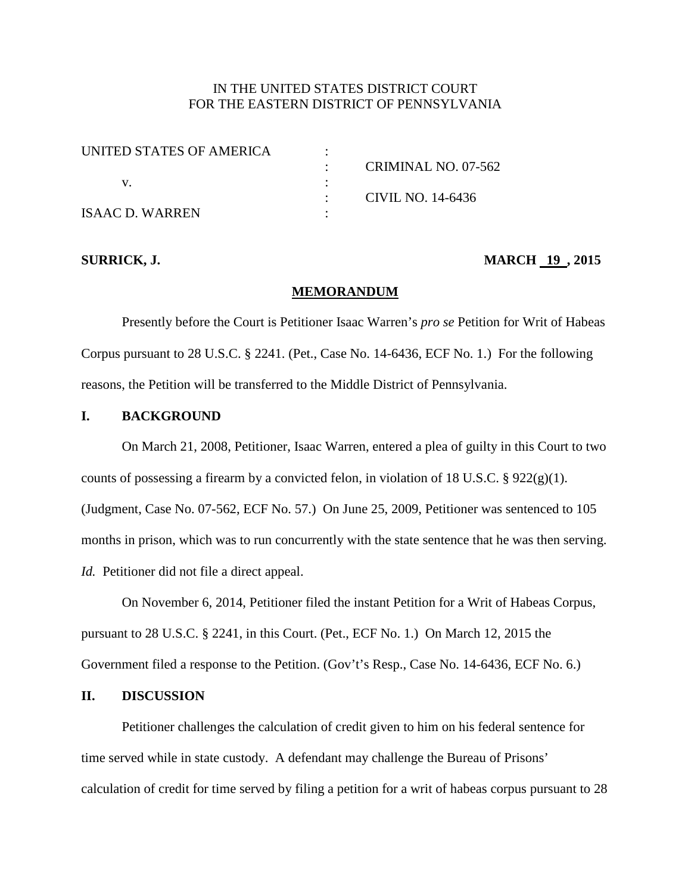# IN THE UNITED STATES DISTRICT COURT FOR THE EASTERN DISTRICT OF PENNSYLVANIA

| UNITED STATES OF AMERICA |                     |
|--------------------------|---------------------|
|                          | CRIMINAL NO. 07-562 |
|                          |                     |
|                          | CIVIL NO. 14-6436   |
| ISAAC D. WARREN          |                     |

## **SURRICK, J. MARCH 19, 2015**

#### **MEMORANDUM**

Presently before the Court is Petitioner Isaac Warren's *pro se* Petition for Writ of Habeas Corpus pursuant to 28 U.S.C. § 2241. (Pet., Case No. 14-6436, ECF No. 1.) For the following reasons, the Petition will be transferred to the Middle District of Pennsylvania.

# **I. BACKGROUND**

On March 21, 2008, Petitioner, Isaac Warren, entered a plea of guilty in this Court to two counts of possessing a firearm by a convicted felon, in violation of 18 U.S.C.  $\S 922(g)(1)$ . (Judgment, Case No. 07-562, ECF No. 57.) On June 25, 2009, Petitioner was sentenced to 105 months in prison, which was to run concurrently with the state sentence that he was then serving. *Id.* Petitioner did not file a direct appeal.

On November 6, 2014, Petitioner filed the instant Petition for a Writ of Habeas Corpus, pursuant to 28 U.S.C. § 2241, in this Court. (Pet., ECF No. 1.) On March 12, 2015 the Government filed a response to the Petition. (Gov't's Resp., Case No. 14-6436, ECF No. 6.)

## **II. DISCUSSION**

Petitioner challenges the calculation of credit given to him on his federal sentence for time served while in state custody. A defendant may challenge the Bureau of Prisons' calculation of credit for time served by filing a petition for a writ of habeas corpus pursuant to 28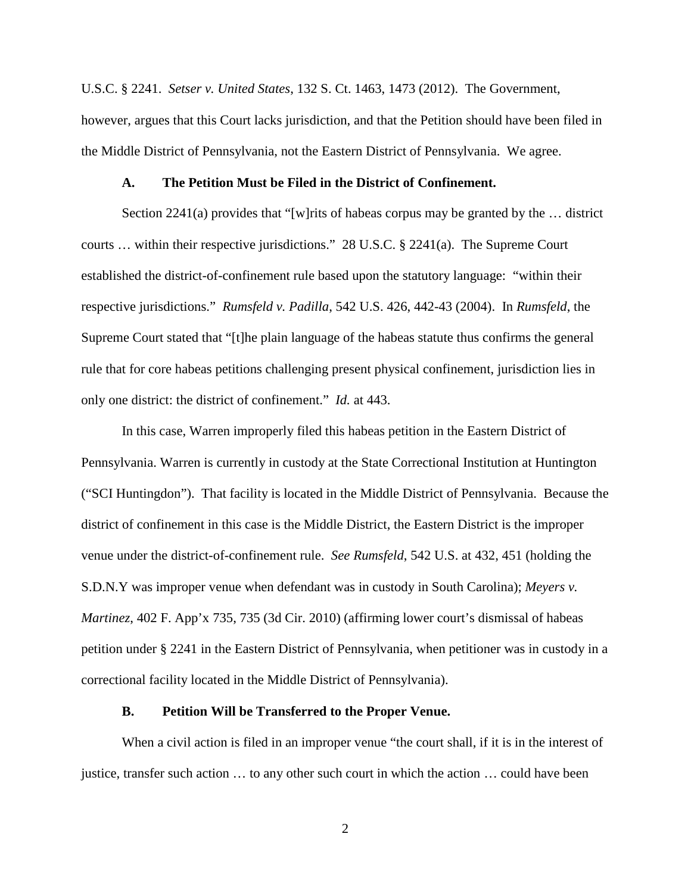U.S.C. § 2241. *Setser v. United States*, 132 S. Ct. 1463, 1473 (2012). The Government, however, argues that this Court lacks jurisdiction, and that the Petition should have been filed in the Middle District of Pennsylvania, not the Eastern District of Pennsylvania. We agree.

#### **A. The Petition Must be Filed in the District of Confinement.**

Section 2241(a) provides that "[w]rits of habeas corpus may be granted by the  $\dots$  district courts … within their respective jurisdictions." 28 U.S.C. § 2241(a). The Supreme Court established the district-of-confinement rule based upon the statutory language: "within their respective jurisdictions." *Rumsfeld v. Padilla*, 542 U.S. 426, 442-43 (2004). In *Rumsfeld*, the Supreme Court stated that "[t]he plain language of the habeas statute thus confirms the general rule that for core habeas petitions challenging present physical confinement, jurisdiction lies in only one district: the district of confinement." *Id.* at 443.

In this case, Warren improperly filed this habeas petition in the Eastern District of Pennsylvania. Warren is currently in custody at the State Correctional Institution at Huntington ("SCI Huntingdon"). That facility is located in the Middle District of Pennsylvania. Because the district of confinement in this case is the Middle District, the Eastern District is the improper venue under the district-of-confinement rule. *See Rumsfeld*, 542 U.S. at 432, 451 (holding the S.D.N.Y was improper venue when defendant was in custody in South Carolina); *Meyers v. Martinez*, 402 F. App'x 735, 735 (3d Cir. 2010) (affirming lower court's dismissal of habeas petition under § 2241 in the Eastern District of Pennsylvania, when petitioner was in custody in a correctional facility located in the Middle District of Pennsylvania).

### **B. Petition Will be Transferred to the Proper Venue.**

When a civil action is filed in an improper venue "the court shall, if it is in the interest of justice, transfer such action … to any other such court in which the action … could have been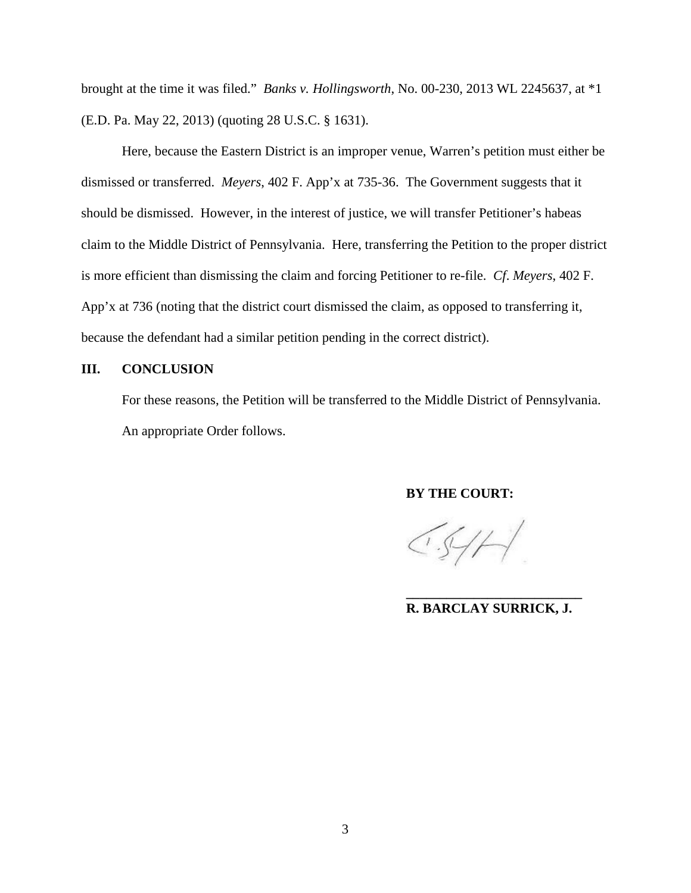brought at the time it was filed." *Banks v. Hollingsworth*, No. 00-230, 2013 WL 2245637, at \*1 (E.D. Pa. May 22, 2013) (quoting 28 U.S.C. § 1631).

Here, because the Eastern District is an improper venue, Warren's petition must either be dismissed or transferred. *Meyers*, 402 F. App'x at 735-36. The Government suggests that it should be dismissed. However, in the interest of justice, we will transfer Petitioner's habeas claim to the Middle District of Pennsylvania. Here, transferring the Petition to the proper district is more efficient than dismissing the claim and forcing Petitioner to re-file. *Cf*. *Meyers*, 402 F. App'x at 736 (noting that the district court dismissed the claim, as opposed to transferring it, because the defendant had a similar petition pending in the correct district).

# **III. CONCLUSION**

For these reasons, the Petition will be transferred to the Middle District of Pennsylvania. An appropriate Order follows.

# **BY THE COURT:**

 $CS/H$ 

**\_\_\_\_\_\_\_\_\_\_\_\_\_\_\_\_\_\_\_\_\_\_\_\_\_\_ R. BARCLAY SURRICK, J.**